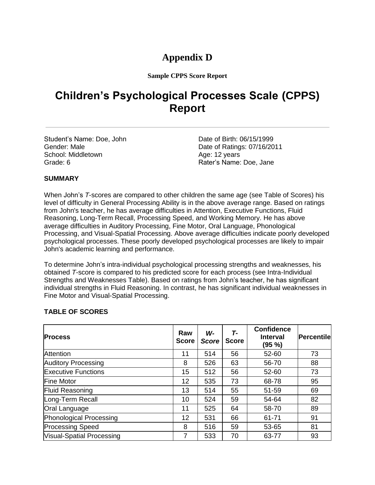## **Appendix D**

**Sample CPPS Score Report**

# **Children's Psychological Processes Scale (CPPS) Report**

Student's Name: Doe, John Date of Birth: 06/15/1999 School: Middletown Age: 12 years Grade: 6 **Grade: 6** Rater's Name: Doe, Jane

Gender: Male **Date of Ratings: 07/16/2011** 

#### **SUMMARY**

When John's *T*-scores are compared to other children the same age (see Table of Scores) his level of difficulty in General Processing Ability is in the above average range. Based on ratings from John's teacher, he has average difficulties in Attention, Executive Functions, Fluid Reasoning, Long-Term Recall, Processing Speed, and Working Memory. He has above average difficulties in Auditory Processing, Fine Motor, Oral Language, Phonological Processing, and Visual-Spatial Processing. Above average difficulties indicate poorly developed psychological processes. These poorly developed psychological processes are likely to impair John's academic learning and performance.

To determine John's intra-individual psychological processing strengths and weaknesses, his obtained *T*-score is compared to his predicted score for each process (see Intra-Individual Strengths and Weaknesses Table). Based on ratings from John's teacher, he has significant individual strengths in Fluid Reasoning. In contrast, he has significant individual weaknesses in Fine Motor and Visual-Spatial Processing.

#### **TABLE OF SCORES**

| <b>Process</b>             | Raw<br><b>Score</b> | W-<br><b>Score</b> | T-<br><b>Score</b> | <b>Confidence</b><br><b>Interval</b><br>(95 %) | <b>Percentile</b> |
|----------------------------|---------------------|--------------------|--------------------|------------------------------------------------|-------------------|
| <b>Attention</b>           | 11                  | 514                | 56                 | 52-60                                          | 73                |
| <b>Auditory Processing</b> | 8                   | 526                | 63                 | 56-70                                          | 88                |
| <b>Executive Functions</b> | 15                  | 512                | 56                 | 52-60                                          | 73                |
| <b>Fine Motor</b>          | 12                  | 535                | 73                 | 68-78                                          | 95                |
| <b>Fluid Reasoning</b>     | 13                  | 514                | 55                 | 51-59                                          | 69                |
| Long-Term Recall           | 10                  | 524                | 59                 | 54-64                                          | 82                |
| Oral Language              | 11                  | 525                | 64                 | 58-70                                          | 89                |
| Phonological Processing    | 12                  | 531                | 66                 | 61-71                                          | 91                |
| <b>Processing Speed</b>    | 8                   | 516                | 59                 | 53-65                                          | 81                |
| Visual-Spatial Processing  |                     | 533                | 70                 | 63-77                                          | 93                |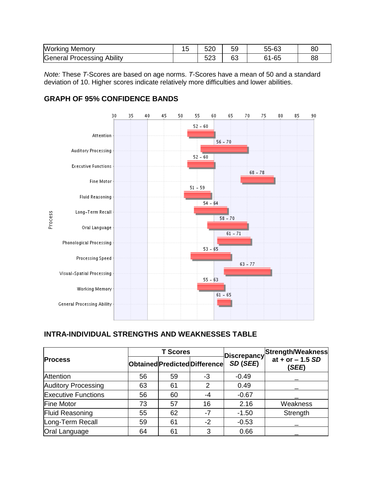| Working<br>Memorv             | . -<br>∪ו | 520          | 59             | 55-63                  | 80 |
|-------------------------------|-----------|--------------|----------------|------------------------|----|
| General Processing<br>Ability |           | r o o<br>౦∠౦ | <u>_</u><br>ರು | $\sim$ $\sim$<br>61-65 | 88 |

*Note:* These *T*-Scores are based on age norms. *T*-Scores have a mean of 50 and a standard deviation of 10. Higher scores indicate relatively more difficulties and lower abilities.

## **GRAPH OF 95% CONFIDENCE BANDS**



### **INTRA-INDIVIDUAL STRENGTHS AND WEAKNESSES TABLE**

|                            |    | <b>T Scores</b> |                               | <b>Discrepancy</b> | Strength/Weakness           |
|----------------------------|----|-----------------|-------------------------------|--------------------|-----------------------------|
| <b>Process</b>             |    |                 | Obtained Predicted Difference | SD(SEE)            | at + or $- 1.5$ SD<br>(SEE) |
| Attention                  | 56 | 59              | -3                            | $-0.49$            |                             |
| <b>Auditory Processing</b> | 63 | 61              | 2                             | 0.49               |                             |
| <b>Executive Functions</b> | 56 | 60              | -4                            | $-0.67$            |                             |
| <b>Fine Motor</b>          | 73 | 57              | 16                            | 2.16               | Weakness                    |
| <b>Fluid Reasoning</b>     | 55 | 62              | -7                            | $-1.50$            | Strength                    |
| Long-Term Recall           | 59 | 61              | $-2$                          | $-0.53$            |                             |
| Oral Language              | 64 | 61              | 3                             | 0.66               |                             |